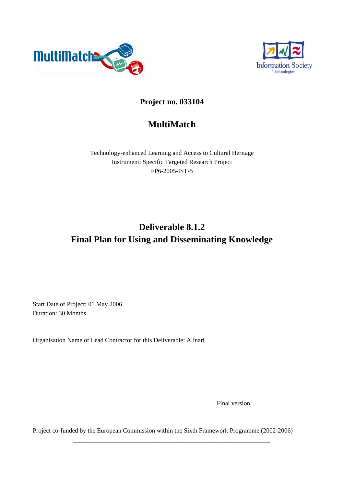



## **Project no. 033104**

## **MultiMatch**

Technology-enhanced Learning and Access to Cultural Heritage Instrument: Specific Targeted Research Project FP6-2005-IST-5

# **Deliverable 8.1.2 Final Plan for Using and Disseminating Knowledge**

Start Date of Project: 01 May 2006 Duration: 30 Months

Organisation Name of Lead Contractor for this Deliverable: Alinari

Final version

Project co-funded by the European Commission within the Sixth Framework Programme (2002-2006)

\_\_\_\_\_\_\_\_\_\_\_\_\_\_\_\_\_\_\_\_\_\_\_\_\_\_\_\_\_\_\_\_\_\_\_\_\_\_\_\_\_\_\_\_\_\_\_\_\_\_\_\_\_\_\_\_\_\_\_\_\_\_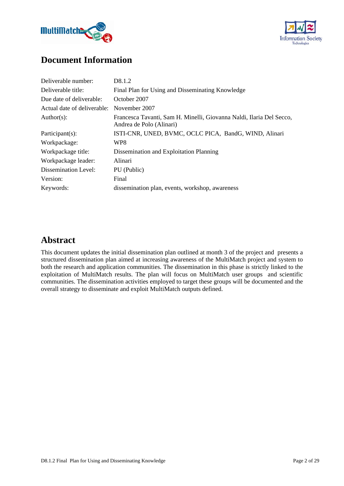



## **Document Information**

| Deliverable number:         | D8.1.2                                                                                           |
|-----------------------------|--------------------------------------------------------------------------------------------------|
| Deliverable title:          | Final Plan for Using and Disseminating Knowledge                                                 |
| Due date of deliverable:    | October 2007                                                                                     |
| Actual date of deliverable: | November 2007                                                                                    |
| Author(s):                  | Francesca Tavanti, Sam H. Minelli, Giovanna Naldi, Ilaria Del Secco,<br>Andrea de Polo (Alinari) |
| Participant(s):             | ISTI-CNR, UNED, BVMC, OCLC PICA, BandG, WIND, Alinari                                            |
| Workpackage:                | WP8                                                                                              |
| Workpackage title:          | Dissemination and Exploitation Planning                                                          |
| Workpackage leader:         | Alinari                                                                                          |
| Dissemination Level:        | PU (Public)                                                                                      |
| Version:                    | Final                                                                                            |
| Keywords:                   | dissemination plan, events, workshop, awareness                                                  |

## **Abstract**

This document updates the initial dissemination plan outlined at month 3 of the project and presents a structured dissemination plan aimed at increasing awareness of the MultiMatch project and system to both the research and application communities. The dissemination in this phase is strictly linked to the exploitation of MultiMatch results. The plan will focus on MultiMatch user groups and scientific communities. The dissemination activities employed to target these groups will be documented and the overall strategy to disseminate and exploit MultiMatch outputs defined.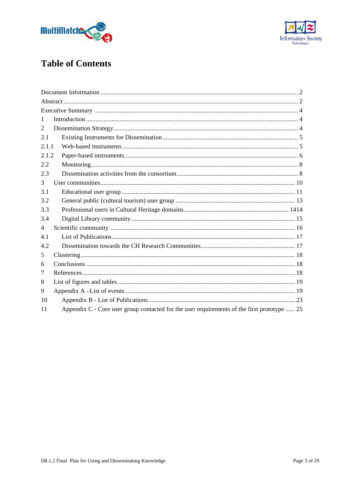



# **Table of Contents**

| 1              |                                                                                             |
|----------------|---------------------------------------------------------------------------------------------|
| 2              |                                                                                             |
| 2.1            |                                                                                             |
| 2.1.1          |                                                                                             |
| 2.1.2          |                                                                                             |
| 2.2            |                                                                                             |
| 2.3            |                                                                                             |
| 3              |                                                                                             |
| 3.1            |                                                                                             |
| 3.2            |                                                                                             |
| 3.3            |                                                                                             |
| 3.4            |                                                                                             |
| $\overline{4}$ |                                                                                             |
| 4.1            |                                                                                             |
| 4.2            |                                                                                             |
| 5              |                                                                                             |
| 6              |                                                                                             |
| 7              |                                                                                             |
| 8              |                                                                                             |
| 9              |                                                                                             |
| 10             |                                                                                             |
| 11             | Appendix C - Core user group contacted for the user requirements of the first prototype  25 |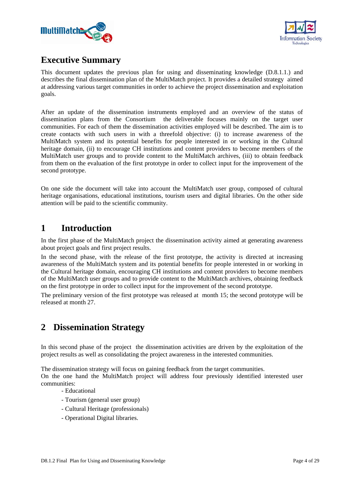



## **Executive Summary**

This document updates the previous plan for using and disseminating knowledge (D.8.1.1.) and describes the final dissemination plan of the MultiMatch project. It provides a detailed strategy aimed at addressing various target communities in order to achieve the project dissemination and exploitation goals.

After an update of the dissemination instruments employed and an overview of the status of dissemination plans from the Consortium the deliverable focuses mainly on the target user communities. For each of them the dissemination activities employed will be described. The aim is to create contacts with such users in with a threefold objective: (i) to increase awareness of the MultiMatch system and its potential benefits for people interested in or working in the Cultural heritage domain, (ii) to encourage CH institutions and content providers to become members of the MultiMatch user groups and to provide content to the MultiMatch archives, (iii) to obtain feedback from them on the evaluation of the first prototype in order to collect input for the improvement of the second prototype.

On one side the document will take into account the MultiMatch user group, composed of cultural heritage organisations, educational institutions, tourism users and digital libraries. On the other side attention will be paid to the scientific community.

## **1 Introduction**

In the first phase of the MultiMatch project the dissemination activity aimed at generating awareness about project goals and first project results.

In the second phase, with the release of the first prototype, the activity is directed at increasing awareness of the MultiMatch system and its potential benefits for people interested in or working in the Cultural heritage domain, encouraging CH institutions and content providers to become members of the MultiMatch user groups and to provide content to the MultiMatch archives, obtaining feedback on the first prototype in order to collect input for the improvement of the second prototype.

The preliminary version of the first prototype was released at month 15; the second prototype will be released at month 27.

## **2 Dissemination Strategy**

In this second phase of the project the dissemination activities are driven by the exploitation of the project results as well as consolidating the project awareness in the interested communities.

The dissemination strategy will focus on gaining feedback from the target communities.

On the one hand the MultiMatch project will address four previously identified interested user communities:

- Educational
- Tourism (general user group)
- Cultural Heritage (professionals)
- Operational Digital libraries.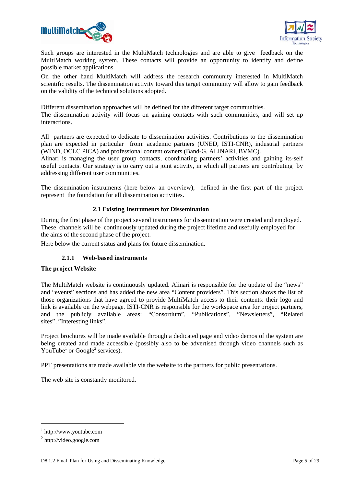



Such groups are interested in the MultiMatch technologies and are able to give feedback on the MultiMatch working system. These contacts will provide an opportunity to identify and define possible market applications.

On the other hand MultiMatch will address the research community interested in MultiMatch scientific results. The dissemination activity toward this target community will allow to gain feedback on the validity of the technical solutions adopted.

Different dissemination approaches will be defined for the different target communities. The dissemination activity will focus on gaining contacts with such communities, and will set up interactions.

All partners are expected to dedicate to dissemination activities. Contributions to the dissemination plan are expected in particular from: academic partners (UNED, ISTI-CNR), industrial partners (WIND, OCLC PICA) and professional content owners (Band-G, ALINARI, BVMC).

Alinari is managing the user group contacts, coordinating partners' activities and gaining its-self useful contacts. Our strategy is to carry out a joint activity, in which all partners are contributing by addressing different user communities.

The dissemination instruments (here below an overview), defined in the first part of the project represent the foundation for all dissemination activities.

## **2.1 Existing Instruments for Dissemination**

During the first phase of the project several instruments for dissemination were created and employed. These channels will be continuously updated during the project lifetime and usefully employed for the aims of the second phase of the project.

Here below the current status and plans for future dissemination.

### **2.1.1 Web-based instruments**

### **The project Website**

The MultiMatch website is continuously updated. Alinari is responsible for the update of the "news" and "events" sections and has added the new area "Content providers". This section shows the list of those organizations that have agreed to provide MultiMatch access to their contents: their logo and link is available on the webpage. ISTI-CNR is responsible for the workspace area for project partners, and the publicly available areas: "Consortium", "Publications", "Newsletters", "Related sites", "Interesting links".

Project brochures will be made available through a dedicated page and video demos of the system are being created and made accessible (possibly also to be advertised through video channels such as YouTube<sup>1</sup> or Google<sup>2</sup> services).

PPT presentations are made available via the website to the partners for public presentations.

The web site is constantly monitored.

1

<sup>1</sup> http://www.youtube.com

<sup>&</sup>lt;sup>2</sup> http://video.google.com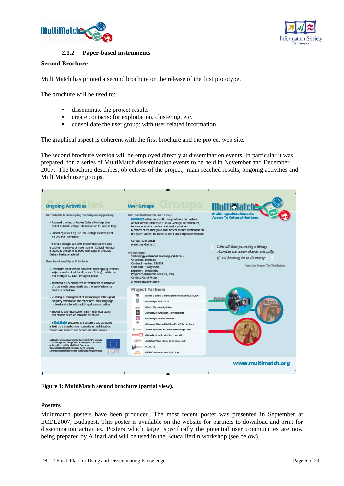



### **2.1.2 Paper-based instruments**

### **Second Brochure**

MultiMatch has printed a second brochure on the release of the first prototype.

The brochure will be used to:

- disseminate the project results
- **F** create contacts: for exploitation, clustering, etc.
- **•** consolidate the user group: with user related information

The graphical aspect is coherent with the first brochure and the project web site.

The second brochure version will be employed directly at dissemination events. In particular it was prepared for a series of MultiMatch dissemination events to be held in November and December 2007. The brochure describes, objectives of the project, main reached results, ongoing activities and MultiMatch user groups.

|                                                                                                                                                                                                                                                                                                                                                                                                                                                                                                       | ťЭ                                                                                                                                                                                                                                                                                                                                                                    |                                                                                                                                                           |
|-------------------------------------------------------------------------------------------------------------------------------------------------------------------------------------------------------------------------------------------------------------------------------------------------------------------------------------------------------------------------------------------------------------------------------------------------------------------------------------------------------|-----------------------------------------------------------------------------------------------------------------------------------------------------------------------------------------------------------------------------------------------------------------------------------------------------------------------------------------------------------------------|-----------------------------------------------------------------------------------------------------------------------------------------------------------|
| <b>Ongoing Activities</b>                                                                                                                                                                                                                                                                                                                                                                                                                                                                             | <b>User Groups</b>                                                                                                                                                                                                                                                                                                                                                    | TM F                                                                                                                                                      |
| MultiMatch is developing techniques supporting:<br>. Focussed crawling of known Cultural Heritage sites<br>and of Cultural Heritage Information on the web at large.<br>. Harvesting of existing Cultural Heritage archives which                                                                                                                                                                                                                                                                     | Join the MultiMatch User Group<br><b>Multimatch addresses specific groups of users on the basis</b><br>of their diverse interests in Cultural Heritage: entertainment,<br>tourism, education, content and service providers.<br>Members of the user groups will be sent further information on<br>the system and will be invited to test it out and provide feedback. | <b>Multilingual/Multimedia</b><br><b>Access To Cultural Heritage</b>                                                                                      |
| are OAI-PMH complant<br>The final prototype will have an extended content base<br>Including the archives of more than ten Cultural Heritage<br>institutions and up to 50,0000 web pages of available<br>Cultural Heritage material.<br>New functionality will include:<br>. Techniques for automatic document labelling (e.g. creators,<br>subjects, works of art, location, date & time), enrichment<br>and Inking of Cultural Heritage material.                                                    | Contact: Sam Minell<br>e-mail: sam@alinari.it<br>Project type:<br>Technology-enhanced Learning and Access<br>to Cultural Heritage<br>Contract number: 033104<br>Start date: 1 May 2006<br>Duration: 30 Months<br>Project coordinator: ISTI-CNR, Italy.                                                                                                                | Like all those possessing a library,<br>Aurelian was aware that he was guilty<br>of not knowing his in its entirety<br>Jorge Luis Borges, The Theologians |
| . Advanced query management through the combination<br>of cross media query results and the use of relevance<br>feedback techniques.<br>- Multilingual management of six languages with support<br>for query formulation and refinement, cross-language<br>retrieval and automatic multilingual summarization.<br>. Innovative User Interface offering multimedia search<br>and browse based on semantic structures.                                                                                  | <b>Contact: Carol Peters</b><br>e-mail: carol@kti.cnr.it<br><b>Project Partners</b><br>. Istituto di Scienza e Tecnologie dell' Informazione, CNR, Italy<br>8<br>-University of Sheffield, UK<br>-Dublin City University, Ireland<br>DOU<br>۱ě<br>-University of Amsterdam, The Netherlands<br>⊛<br>-University of Geneva, Switzerland                                | etherlends Institu<br>19 Second Japan Will                                                                                                                |
| The <b>Multimatch</b> prototype will be tested and evaluated<br>In field trials based on user scenarios in the Education.<br>Tourism and Content and Service providers sectors.<br>MultiPAblich is solely responsible for the content of this brochure.<br>It does not represent the opinion of the European Commission<br>or the Institutions of the MultiPAatch Contractor.<br>The MultiMatch Project is co-funded by the European<br>Commission's Information Society Technologies Programme (IST) | Universidad Nacional de Educación a Distancia, Spain<br>-Fratell Alireri Istituto Edizioni Artistiche SpA, Italy<br><b>CO</b> ALIFAAN<br>-Netherlands Institute for Sound and Vision<br>Biblioteca Virtual Miguel de Cervantes, Spain<br>OCLC, UK                                                                                                                     |                                                                                                                                                           |
|                                                                                                                                                                                                                                                                                                                                                                                                                                                                                                       | -WIND Telecomunicazioni S.p.A., Italy<br>do.                                                                                                                                                                                                                                                                                                                          | www.multimatch.org                                                                                                                                        |

**Figure 1: MultiMatch second brochure (partial view).** 

## **Posters**

Multimatch posters have been produced. The most recent poster was presented in September at ECDL2007, Budapest. This poster is available on the website for partners to download and print for dissemination activities. Posters which target specifically the potential user communities are now being prepared by Alinari and will be used in the Educa Berlin workshop (see below).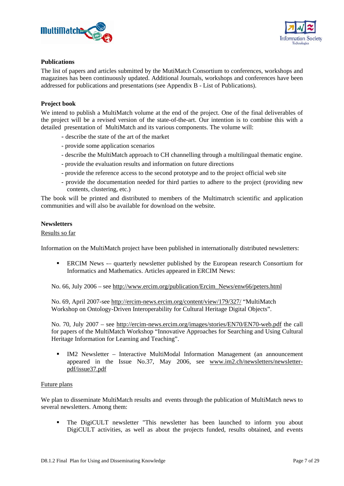



### **Publications**

The list of papers and articles submitted by the MutiMatch Consortium to conferences, workshops and magazines has been continuously updated. Additional Journals, workshops and conferences have been addressed for publications and presentations (see Appendix B - List of Publications).

### **Project book**

We intend to publish a MultiMatch volume at the end of the project. One of the final deliverables of the project will be a revised version of the state-of-the-art. Our intention is to combine this with a detailed presentation of MultiMatch and its various components. The volume will:

- describe the state of the art of the market
- provide some application scenarios
- describe the MultiMatch approach to CH channelling through a multilingual thematic engine.
- provide the evaluation results and information on future directions
- provide the reference access to the second prototype and to the project official web site
- provide the documentation needed for third parties to adhere to the project (providing new contents, clustering, etc.)

The book will be printed and distributed to members of the Multimatrch scientific and application communities and will also be available for download on the website.

### **Newsletters**

### Results so far

Information on the MultiMatch project have been published in internationally distributed newsletters:

 ERCIM News -– quarterly newsletter published by the European research Consortium for Informatics and Mathematics. Articles appeared in ERCIM News:

No. 66, July 2006 – see http://www.ercim.org/publication/Ercim\_News/enw66/peters.html

No. 69, April 2007-see http://ercim-news.ercim.org/content/view/179/327/ "MultiMatch Workshop on Ontology-Driven Interoperability for Cultural Heritage Digital Objects".

No. 70, July 2007 – see http://ercim-news.ercim.org/images/stories/EN70/EN70-web.pdf the call for papers of the MultiMatch Workshop "Innovative Approaches for Searching and Using Cultural Heritage Information for Learning and Teaching".

 IM2 Newsletter – Interactive MultiModal Information Management (an announcement appeared in the Issue No.37, May 2006, see www.im2.ch/newsletters/newsletterpdf/issue37.pdf

#### Future plans

We plan to disseminate MultiMatch results and events through the publication of MultiMatch news to several newsletters. Among them:

 The DigiCULT newsletter "This newsletter has been launched to inform you about DigiCULT activities, as well as about the projects funded, results obtained, and events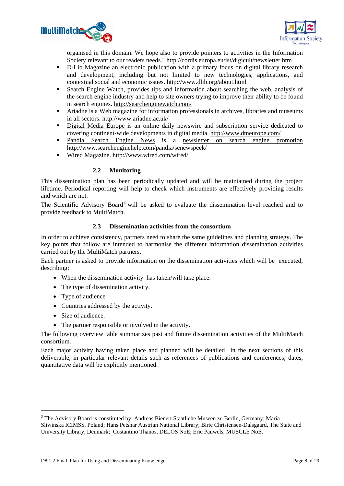



organised in this domain. We hope also to provide pointers to activities in the Information Society relevant to our readers needs." http://cordis.europa.eu/ist/digicult/newsletter.htm

- D-Lib Magazine an electronic publication with a primary focus on digital library research and development, including but not limited to new technologies, applications, and contextual social and economic issues. http://www.dlib.org/about.html
- Search Engine Watch, provides tips and information about searching the web, analysis of the search engine industry and help to site owners trying to improve their ability to be found in search engines. http://searchenginewatch.com/
- Ariadne is a Web magazine for information professionals in archives, libraries and museums in all sectors. http://www.ariadne.ac.uk/
- Digital Media Europe is an online daily newswire and subscription service dedicated to covering continent-wide developments in digital media. http://www.dmeurope.com/
- Pandia Search Engine News is a newsletter on search engine promotion http://www.searchenginehelp.com/pandia/senewspeek/
- Wired Magazine. http://www.wired.com/wired/

## **2.2 Monitoring**

This dissemination plan has been periodically updated and will be maintained during the project lifetime. Periodical reporting will help to check which instruments are effectively providing results and which are not.

The Scientific Advisory Board<sup>3</sup> will be asked to evaluate the dissemination level reached and to provide feedback to MultiMatch.

### **2.3 Dissemination activities from the consortium**

In order to achieve consistency, partners need to share the same guidelines and planning strategy. The key points that follow are intended to harmonise the different information dissemination activities carried out by the MultiMatch partners.

Each partner is asked to provide information on the dissemination activities which will be executed, describing:

- When the dissemination activity has taken/will take place.
- The type of dissemination activity.
- Type of audience
- Countries addressed by the activity.
- Size of audience.

-

• The partner responsible or involved in the activity.

The following overview table summarizes past and future dissemination activities of the MultiMatch consortium.

Each major activity having taken place and planned will be detailed in the next sections of this deliverable, in particular relevant details such as references of publications and conferences, dates, quantitative data will be explicitly mentioned.

<sup>&</sup>lt;sup>3</sup> The Advisory Board is constituted by: Andreas Bienert Staatliche Museen zu Berlin, Germany; Maria Sliwinska ICIMSS, Poland; Hans Petshar Austrian National Library; Birte Christensen-Dalsgaard, The State and University Library, Denmark; Costantino Thanos, DELOS NoE; Eric Pauwels, MUSCLE NoE.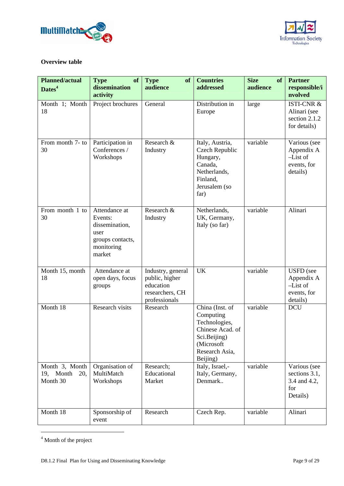



## **Overview table**

| <b>Planned/actual</b><br>Dates <sup>4</sup>    | of<br><b>Type</b><br>dissemination                                                             | <b>Type</b><br>of<br>audience                                                        | <b>Countries</b><br>addressed                                                                                                 | <b>Size</b><br><b>of</b><br>audience | <b>Partner</b><br>responsible/i                                         |
|------------------------------------------------|------------------------------------------------------------------------------------------------|--------------------------------------------------------------------------------------|-------------------------------------------------------------------------------------------------------------------------------|--------------------------------------|-------------------------------------------------------------------------|
|                                                | activity                                                                                       |                                                                                      |                                                                                                                               |                                      | nvolved                                                                 |
| Month 1; Month<br>18                           | Project brochures                                                                              | General                                                                              | Distribution in<br>Europe                                                                                                     | large                                | <b>ISTI-CNR &amp;</b><br>Alinari (see<br>section 2.1.2<br>for details)  |
| From month 7- to<br>30                         | Participation in<br>Conferences /<br>Workshops                                                 | Research &<br>Industry                                                               | Italy, Austria,<br>Czech Republic<br>Hungary,<br>Canada,<br>Netherlands,<br>Finland,<br>Jerusalem (so<br>far)                 | variable                             | Various (see<br>Appendix A<br>$-List$ of<br>events, for<br>details)     |
| From month 1 to<br>30                          | Attendance at<br>Events:<br>dissemination,<br>user<br>groups contacts,<br>monitoring<br>market | Research &<br>Industry                                                               | Netherlands,<br>UK, Germany,<br>Italy (so far)                                                                                | variable                             | Alinari                                                                 |
| Month 15, month<br>18                          | Attendance at<br>open days, focus<br>groups                                                    | Industry, general<br>public, higher<br>education<br>researchers, CH<br>professionals | <b>UK</b>                                                                                                                     | variable                             | <b>USFD</b> (see<br>Appendix A<br>$-List$ of<br>events, for<br>details) |
| Month 18                                       | Research visits                                                                                | Research                                                                             | China (Inst. of<br>Computing<br>Technologies,<br>Chinese Acad. of<br>Sci.Beijing)<br>(Microsoft<br>Research Asia,<br>Beijing) | variable                             | <b>DCU</b>                                                              |
| Month 3, Month<br>19, Month<br>20,<br>Month 30 | Organisation of<br>MultiMatch<br>Workshops                                                     | Research;<br>Educational<br>Market                                                   | Italy, Israel,-<br>Italy, Germany,<br>Denmark                                                                                 | variable                             | Various (see<br>sections 3.1,<br>3.4 and 4.2,<br>for<br>Details)        |
| Month 18                                       | Sponsorship of<br>event                                                                        | Research                                                                             | Czech Rep.                                                                                                                    | variable                             | Alinari                                                                 |

<sup>&</sup>lt;sup>4</sup> Month of the project

-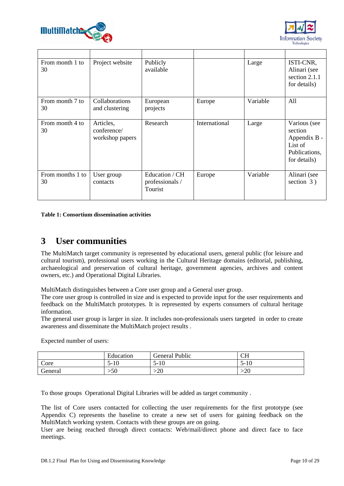



| From month 1 to<br>30  | Project website                             | Publicly<br>available                        |               | Large    | ISTI-CNR,<br>Alinari (see<br>section 2.1.1<br>for details)                          |
|------------------------|---------------------------------------------|----------------------------------------------|---------------|----------|-------------------------------------------------------------------------------------|
| From month 7 to<br>30  | Collaborations<br>and clustering            | European<br>projects                         | Europe        | Variable | All                                                                                 |
| From month 4 to<br>30  | Articles,<br>conference/<br>workshop papers | Research                                     | International | Large    | Various (see<br>section<br>Appendix B -<br>List of<br>Publications,<br>for details) |
| From months 1 to<br>30 | User group<br>contacts                      | Education / CH<br>professionals /<br>Tourist | Europe        | Variable | Alinari (see<br>section $3)$                                                        |

**Table 1: Consortium dissemination activities** 

## **3 User communities**

The MultiMatch target community is represented by educational users, general public (for leisure and cultural tourism), professional users working in the Cultural Heritage domains (editorial, publishing, archaeological and preservation of cultural heritage, government agencies, archives and content owners, etc.) and Operational Digital Libraries.

MultiMatch distinguishes between a Core user group and a General user group.

The core user group is controlled in size and is expected to provide input for the user requirements and feedback on the MultiMatch prototypes. It is represented by experts consumers of cultural heritage information.

The general user group is larger in size. It includes non-professionals users targeted in order to create awareness and disseminate the MultiMatch project results .

Expected number of users:

|         | Education  | General Public | <b>CH</b>       |
|---------|------------|----------------|-----------------|
| Core    | -10<br>י - | 10<br>$3 - 10$ | 10<br>$J - 1U$  |
| General | $-50$      | ററ<br>∙∠∪      | $\Delta$<br>י∠י |

To those groups Operational Digital Libraries will be added as target community .

The list of Core users contacted for collecting the user requirements for the first prototype (see Appendix C) represents the baseline to create a new set of users for gaining feedback on the MultiMatch working system. Contacts with these groups are on going.

User are being reached through direct contacts: Web/mail/direct phone and direct face to face meetings.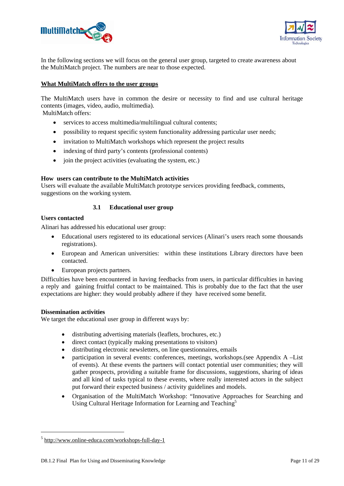



In the following sections we will focus on the general user group, targeted to create awareness about the MultiMatch project. The numbers are near to those expected.

### **What MultiMatch offers to the user groups**

The MultiMatch users have in common the desire or necessity to find and use cultural heritage contents (images, video, audio, multimedia).

MultiMatch offers:

- services to access multimedia/multilingual cultural contents;
- possibility to request specific system functionality addressing particular user needs;
- invitation to MultiMatch workshops which represent the project results
- indexing of third party's contents (professional contents)
- join the project activities (evaluating the system, etc.)

#### **How users can contribute to the MultiMatch activities**

Users will evaluate the available MultiMatch prototype services providing feedback, comments, suggestions on the working system.

### **3.1 Educational user group**

#### **Users contacted**

Alinari has addressed his educational user group:

- Educational users registered to its educational services (Alinari's users reach some thousands registrations).
- European and American universities: within these institutions Library directors have been contacted.
- European projects partners.

Difficulties have been encountered in having feedbacks from users, in particular difficulties in having a reply and gaining fruitful contact to be maintained. This is probably due to the fact that the user expectations are higher: they would probably adhere if they have received some benefit.

#### **Dissemination activities**

-

We target the educational user group in different ways by:

- distributing advertising materials (leaflets, brochures, etc.)
- direct contact (typically making presentations to visitors)
- distributing electronic newsletters, on line questionnaires, emails
- participation in several events: conferences, meetings, workshops. (see Appendix A –List of events). At these events the partners will contact potential user communities; they will gather prospects, providing a suitable frame for discussions, suggestions, sharing of ideas and all kind of tasks typical to these events, where really interested actors in the subject put forward their expected business / activity guidelines and models.
- Organisation of the MultiMatch Workshop: "Innovative Approaches for Searching and Using Cultural Heritage Information for Learning and Teaching<sup>5</sup>

<sup>5</sup> http://www.online-educa.com/workshops-full-day-1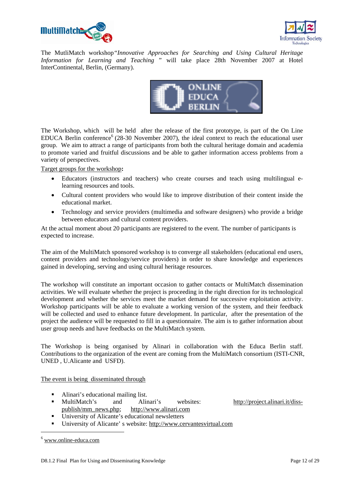



The MutliMatch workshop*"Innovative Approaches for Searching and Using Cultural Heritage Information for Learning and Teaching* " will take place 28th November 2007 at Hotel InterContinental, Berlin, (Germany).



The Workshop, which will be held after the release of the first prototype, is part of the On Line EDUCA Berlin conference  $(28-30)$  November 2007), the ideal context to reach the educational user group. We aim to attract a range of participants from both the cultural heritage domain and academia to promote varied and fruitful discussions and be able to gather information access problems from a variety of perspectives.

Target groups for the workshop**:**

- Educators (instructors and teachers) who create courses and teach using multilingual elearning resources and tools.
- Cultural content providers who would like to improve distribution of their content inside the educational market.
- Technology and service providers (multimedia and software designers) who provide a bridge between educators and cultural content providers.

At the actual moment about 20 participants are registered to the event. The number of participants is expected to increase.

The aim of the MultiMatch sponsored workshop is to converge all stakeholders (educational end users, content providers and technology/service providers) in order to share knowledge and experiences gained in developing, serving and using cultural heritage resources.

The workshop will constitute an important occasion to gather contacts or MultiMatch dissemination activities. We will evaluate whether the project is proceeding in the right direction for its technological development and whether the services meet the market demand for successive exploitation activity. Workshop participants will be able to evaluate a working version of the system, and their feedback will be collected and used to enhance future development. In particular, after the presentation of the project the audience will be requested to fill in a questionnaire. The aim is to gather information about user group needs and have feedbacks on the MultiMatch system.

The Workshop is being organised by Alinari in collaboration with the Educa Berlin staff. Contributions to the organization of the event are coming from the MultiMatch consortium (ISTI-CNR, UNED , U.Alicante and USFD).

The event is being disseminated through

- 
- Alinari's educational mailing list.<br>• MultiMatch's and Alin and Alinari's websites: http://project.alinari.it/disspublish/mm\_news.php; http://www.alinari.com
- University of Alicante's educational newsletters
- University of Alicante' s website: http://www.cervantesvirtual.com

-

<sup>6</sup> www.online-educa.com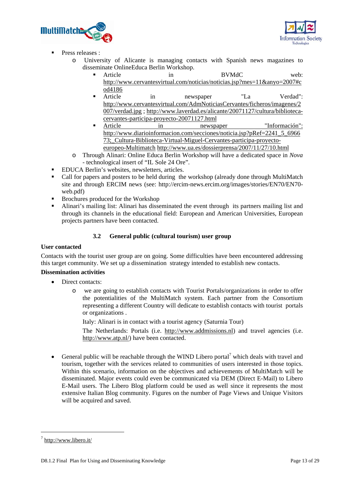



- Press releases :
	- o University of Alicante is managing contacts with Spanish news magazines to disseminate OnlineEduca Berlin Workshop.
		- Article in BVMdC web: http://www.cervantesvirtual.com/noticias/noticias.jsp?mes=11&anyo=2007#c od4186
		- Article in newspaper "La Verdad": http://www.cervantesvirtual.com/AdmNoticiasCervantes/ficheros/imagenes/2 007/verdad.jpg ; http://www.laverdad.es/alicante/20071127/cultura/bibliotecacervantes-participa-proyecto-20071127.html
		- Article in newspaper "Información": http://www.diarioinformacion.com/secciones/noticia.jsp?pRef=2241\_5\_6966 73;\_Cultura-Biblioteca-Virtual-Miguel-Cervantes-participa-proyectoeuropeo-Multimatch http://www.ua.es/dossierprensa/2007/11/27/10.html
	- o Through Alinari: Online Educa Berlin Workshop will have a dedicated space in *Nova* - technological insert of "IL Sole 24 Ore".
- **EDUCA Berlin's websites, newsletters, articles.**
- Call for papers and posters to be held during the workshop (already done through MultiMatch site and through ERCIM news (see: http://ercim-news.ercim.org/images/stories/EN70/EN70 web.pdf)
- Brochures produced for the Workshop
- Alinari's mailing list: Alinari has disseminated the event through its partners mailing list and through its channels in the educational field: European and American Universities, European projects partners have been contacted.

## **3.2 General public (cultural tourism) user group**

## **User contacted**

Contacts with the tourist user group are on going. Some difficulties have been encountered addressing this target community. We set up a dissemination strategy intended to establish new contacts.

### **Dissemination activities**

- Direct contacts:
	- o we are going to establish contacts with Tourist Portals/organizations in order to offer the potentialities of the MultiMatch system. Each partner from the Consortium representing a different Country will dedicate to establish contacts with tourist portals or organizations .

Italy: Alinari is in contact with a tourist agency (Saturnia Tour)

The Netherlands: Portals (i.e. http://www.addmissions.nl) and travel agencies (i.e. http://www.atp.nl/) have been contacted.

• General public will be reachable through the WIND Libero portal<sup>7</sup> which deals with travel and tourism, together with the services related to communities of users interested in those topics. Within this scenario, information on the objectives and achievements of MultiMatch will be disseminated. Major events could even be communicated via DEM (Direct E-Mail) to Libero E-Mail users. The Libero Blog platform could be used as well since it represents the most extensive Italian Blog community. Figures on the number of Page Views and Unique Visitors will be acquired and saved.

-

 $\frac{7 \text{ http://www.libero.it/}}{2}$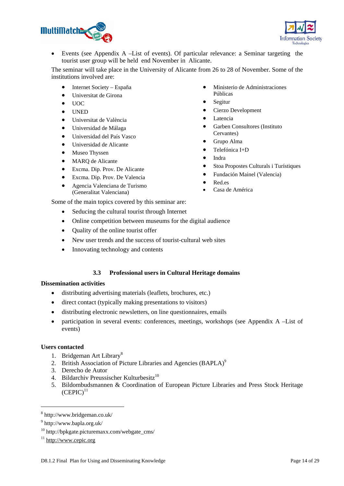



• Events (see Appendix A –List of events). Of particular relevance: a Seminar targeting the tourist user group will be held end November in Alicante.

The seminar will take place in the University of Alicante from 26 to 28 of November. Some of the institutions involved are:

- Internet Society España
- Universitat de Girona
- UOC
- UNED
- Universitat de València
- Universidad de Málaga
- Universidad del País Vasco
- Universidad de Alicante
- Museo Thyssen
- MARQ de Alicante
- Excma. Dip. Prov. De Alicante
- Excma. Dip. Prov. De Valencia
- Agencia Valenciana de Turismo (Generalitat Valenciana)
- Ministerio de Administraciones Públicas
- Segitur
- Cierzo Development
- **Latencia**
- Garben Consultores (Instituto Cervantes)
- Grupo Alma
- Telefónica I+D
- Indra
- Stoa Propostes Culturals i Turístiques
- Fundación Mainel (Valencia)
- Red.es
- Casa de América

Some of the main topics covered by this seminar are:

- Seducing the cultural tourist through Internet
- Online competition between museums for the digital audience
- Ouality of the online tourist offer
- New user trends and the success of tourist-cultural web sites
- Innovating technology and contents

## **3.3 Professional users in Cultural Heritage domains**

### **Dissemination activities**

- distributing advertising materials (leaflets, brochures, etc.)
- direct contact (typically making presentations to visitors)
- distributing electronic newsletters, on line questionnaires, emails
- participation in several events: conferences, meetings, workshops (see Appendix A –List of events)

### **Users contacted**

- 1. Bridgeman Art Library<sup>8</sup>
- 2. British Association of Picture Libraries and Agencies (BAPLA)<sup>9</sup>
- 3. Derecho de Autor
- 4. Bildarchiv Preussischer Kulturbesitz<sup>10</sup>
- 5. Bildombudsmannen & Coordination of European Picture Libraries and Press Stock Heritage  $(CEPIC)^{11}$

1

<sup>8</sup> http://www.bridgeman.co.uk/

<sup>9</sup> http://www.bapla.org.uk/

<sup>10</sup> http://bpkgate.picturemaxx.com/webgate\_cms/

 $11$  http://www.cepic.org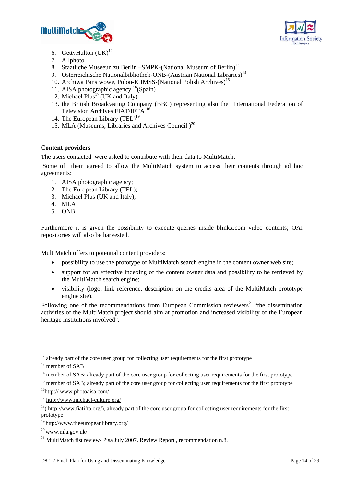



- 6. GettyHulton  $(UK)^{12}$
- 7. Allphoto
- 8. Staatliche Museeun zu Berlin SMPK-(National Museum of Berlin)<sup>13</sup>
- 9. Osterreichische Nationalbibliothek-ONB-(Austrian National Libraries)<sup>14</sup>
- 10. Archiwa Panstwowe, Polon-ICIMSS-(National Polish Archives)<sup>15</sup>
- 11. AISA photographic agency  $^{16}$ (Spain)
- 12. Michael  $Plus<sup>17</sup> (UK and Italy)$
- 13. the British Broadcasting Company (BBC) representing also the International Federation of Television Archives FIAT/IFTA<sup>18</sup>
- 14. The European Library  $(TEL)^{19}$
- 15. MLA (Museums, Libraries and Archives Council  $)^{20}$

## **Content providers**

The users contacted were asked to contribute with their data to MultiMatch.

 Some of them agreed to allow the MultiMatch system to access their contents through ad hoc agreements:

- 1. AISA photographic agency;
- 2. The European Library (TEL);
- 3. Michael Plus (UK and Italy);
- 4. MLA
- 5. ONB

Furthermore it is given the possibility to execute queries inside blinkx.com video contents; OAI repositories will also be harvested.

MultiMatch offers to potential content providers:

- possibility to use the prototype of MultiMatch search engine in the content owner web site;
- support for an effective indexing of the content owner data and possibility to be retrieved by the MultiMatch search engine;
- visibility (logo, link reference, description on the credits area of the MultiMatch prototype engine site).

Following one of the recommendations from European Commission reviewers<sup>21</sup> "the dissemination activities of the MultiMatch project should aim at promotion and increased visibility of the European heritage institutions involved".

-

 $12$  already part of the core user group for collecting user requirements for the first prototype  $13$  member of SAB

<sup>&</sup>lt;sup>14</sup> member of SAB; already part of the core user group for collecting user requirements for the first prototype

<sup>&</sup>lt;sup>15</sup> member of SAB; already part of the core user group for collecting user requirements for the first prototype 16http:// www.photoaisa.com/

<sup>17</sup> http://www.michael-culture.org/

 $18$ ( http://www.fiatifta.org/), already part of the core user group for collecting user requirements for the first prototype

<sup>19</sup> http://www.theeuropeanlibrary.org/

<sup>20</sup> www.mla.gov.uk/

<sup>&</sup>lt;sup>21</sup> MultiMatch fist review- Pisa July 2007. Review Report, recommendation n.8.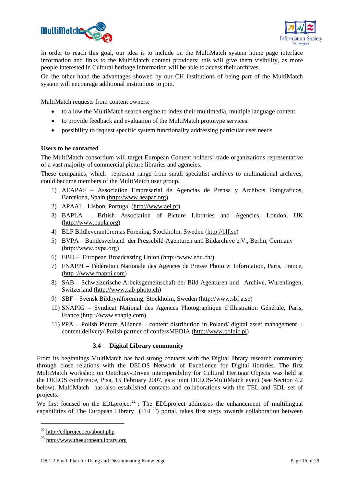



In order to reach this goal, our idea is to include on the MultiMatch system home page interface information and links to the MultiMatch content providers: this will give them visibility, as more people interested in Cultural heritage information will be able to access their archives.

On the other hand the advantages showed by our CH institutions of being part of the MultiMatch system will encourage additional institutions to join.

MultiMatch requests from content owners:

- to allow the MultiMatch search engine to index their multimedia, multiple language content
- to provide feedback and evaluation of the MultiMatch prototype services.
- possibility to request specific system functionality addressing particular user needs

## **Users to be contacted**

The MultiMatch consortium will target European Content holders' trade organizations representative of a vast majority of commercial picture libraries and agencies.

These companies, which represent range from small specialist archives to multinational archives, could become members of the MultiMatch user group.

- 1) AEAPAF Association Empresarial de Agencias de Prensa y Archivos Fotograficos, Barcelona, Spain (http://www.aeapaf.org)
- 2) APAAI Lisbon, Portugal (http://www.aei.pt)
- 3) BAPLA British Association of Picture Libraries and Agencies, London, UK (http://www.bapla.org)
- 4) BLF Bildleverantörernas Forening, Stockholm, Sweden (http://blf.se)
- 5) BVPA Bundesverband der Pressebild-Agenturen und Bildarchive e.V., Berlin, Germany (http://www.bvpa.org)
- 6) EBU European Broadcasting Union (http://www.ebu.ch/)
- 7) FNAPPI Fédération Nationale des Agences de Presse Photo et Information, Paris, France, (http ://www.fnappi.com)
- 8) SAB Schweizerische Arbeitsgemeinschaft der Bild-Agenturen und –Archive, Wurenlingen, Switzerland (http://www.sab-photo.ch)
- 9) SBF Svensk Bildbyråförening, Stockholm, Sweden (http://www.sbf.a.se)
- 10) SNAPIG Syndicat National des Agences Photographique d'Illustration Générale, Paris, France (http ://www.snapig.com)
- 11) PPA Polish Picture Alliance content distribution in Poland/ digital asset management + content delivery/ Polish partner of confessMEDIA (http://www.polpic.pl)

### **3.4 Digital Library community**

From its beginnings MultiMatch has had strong contacts with the Digital library research community through close relations with the DELOS Network of Excellence for Digital libraries. The first MultiMatch workshop on Ontology-Driven interoperability for Cultural Heritage Objects was held at the DELOS conference, Pisa, 15 February 2007, as a joint DELOS-MultiMatch event (see Section 4.2 below). MultiMatch has also established contacts and collaborations with the TEL and EDL set of projects.

We first focused on the EDLproject<sup>22</sup>: The EDLproject addresses the enhancement of multilingual capabilities of The European Library (TEL<sup>23</sup>) portal, takes first steps towards collaboration between

1

<sup>22</sup> http://edlproject.eu/about.php

<sup>23</sup> http://www.theeuropeanlibrary.org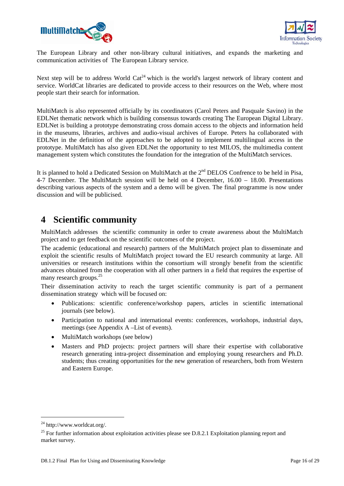



The European Library and other non-library cultural initiatives, and expands the marketing and communication activities of The European Library service.

Next step will be to address World  $Cat^{24}$  which is the world's largest network of library content and service. WorldCat libraries are dedicated to provide access to their resources on the Web, where most people start their search for information.

MultiMatch is also represented officially by its coordinators (Carol Peters and Pasquale Savino) in the EDLNet thematic network which is building consensus towards creating The European Digital Library. EDLNet is building a prototype demonstrating cross domain access to the objects and information held in the museums, libraries, archives and audio-visual archives of Europe. Peters ha collaborated with EDLNet in the definition of the approaches to be adopted to implement multilingual access in the prototype. MultiMatch has also given EDLNet the opportunity to test MILOS, the multimedia content management system which constitutes the foundation for the integration of the MultiMatch services.

It is planned to hold a Dedicated Session on MultiMatch at the 2<sup>nd</sup> DELOS Confrence to be held in Pisa. 4-7 December. The MultiMatch session will be held on 4 December, 16.00 – 18.00. Presentations describing various aspects of the system and a demo will be given. The final programme is now under discussion and will be publicised.

## **4 Scientific community**

MultiMatch addresses the scientific community in order to create awareness about the MultiMatch project and to get feedback on the scientific outcomes of the project.

The academic (educational and research) partners of the MultiMatch project plan to disseminate and exploit the scientific results of MultiMatch project toward the EU research community at large. All universities or research institutions within the consortium will strongly benefit from the scientific advances obtained from the cooperation with all other partners in a field that requires the expertise of many research groups.<sup>25</sup>

Their dissemination activity to reach the target scientific community is part of a permanent dissemination strategy which will be focused on:

- Publications: scientific conference/workshop papers, articles in scientific international journals (see below).
- Participation to national and international events: conferences, workshops, industrial days, meetings (see Appendix A –List of events).
- MultiMatch workshops (see below)
- Masters and PhD projects: project partners will share their expertise with collaborative research generating intra-project dissemination and employing young researchers and Ph.D. students; thus creating opportunities for the new generation of researchers, both from Western and Eastern Europe.

1

<sup>24</sup> http://www.worldcat.org/.

 $^{25}$  For further information about exploitation activities please see D.8.2.1 Exploitation planning report and market survey.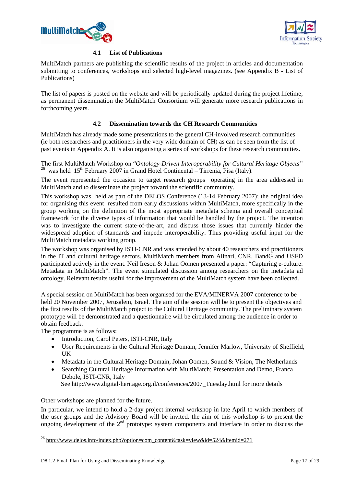



## **4.1 List of Publications**

MultiMatch partners are publishing the scientific results of the project in articles and documentation submitting to conferences, workshops and selected high-level magazines. (see Appendix B - List of Publications)

The list of papers is posted on the website and will be periodically updated during the project lifetime; as permanent dissemination the MultiMatch Consortium will generate more research publications in forthcoming years.

## **4.2 Dissemination towards the CH Research Communities**

MultiMatch has already made some presentations to the general CH-involved research communities (ie both researchers and practitioners in the very wide domain of CH) as can be seen from the list of past events in Appendix A. It is also organising a series of workshops for these research communities.

The first MultiMatch Workshop on "*Ontology-Driven Interoperability for Cultural Heritage Objects"* <sup>26</sup> was held  $15<sup>th</sup>$  February 2007 in Grand Hotel Continental – Tirrenia, Pisa (Italy).

The event represented the occasion to target research groups operating in the area addressed in MultiMatch and to disseminate the project toward the scientific community.

This workshop was held as part of the DELOS Conference (13-14 February 2007); the original idea for organising this event resulted from early discussions within MultiMatch, more specifically in the group working on the definition of the most appropriate metadata schema and overall conceptual framework for the diverse types of information that would be handled by the project. The intention was to investigate the current state-of-the-art, and discuss those issues that currently hinder the widespread adoption of standards and impede interoperability. Thus providing useful input for the MultiMatch metadata working group.

The workshop was organised by ISTI-CNR and was attended by about 40 researchers and practitioners in the IT and cultural heritage sectors. MultiMatch members from Alinari, CNR, BandG and USFD participated actively in the event. Neil Ireson & Johan Oomen presented a paper: "Capturing e-culture: Metadata in MultiMatch". The event stimulated discussion among researchers on the metadata ad ontology. Relevant results useful for the improvement of the MultiMatch system have been collected.

A special session on MultiMatch has been organised for the EVA/MINERVA 2007 conference to be held 20 November 2007, Jerusalem, Israel. The aim of the session will be to present the objectives and the first results of the MultiMatch project to the Cultural Heritage community. The preliminary system prototype will be demonstrated and a questionnaire will be circulated among the audience in order to obtain feedback.

The programme is as follows:

-

- Introduction, Carol Peters, ISTI-CNR, Italy
- User Requirements in the Cultural Heritage Domain, Jennifer Marlow, University of Sheffield, UK
- Metadata in the Cultural Heritage Domain, Johan Oomen, Sound & Vision, The Netherlands
- Searching Cultural Heritage Information with MultiMatch: Presentation and Demo, Franca Debole, ISTI-CNR, Italy See http://www.digital-heritage.org.il/conferences/2007\_Tuesday.html for more details

Other workshops are planned for the future.

In particular, we intend to hold a 2-day project internal workshop in late April to which members of the user groups and the Advisory Board will be invited. the aim of this workshop is to present the ongoing development of the 2<sup>nd</sup> prototype: system components and interface in order to discuss the

<sup>&</sup>lt;sup>26</sup> http://www.delos.info/index.php?option=com\_content&task=view&id=524&Itemid=271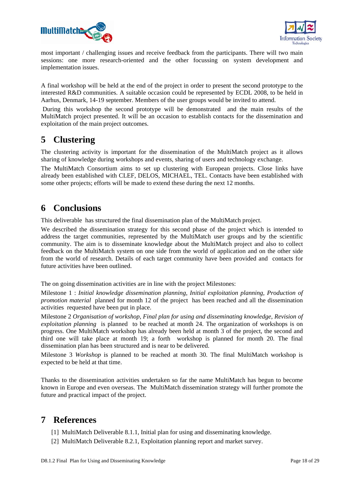



most important / challenging issues and receive feedback from the participants. There will two main sessions: one more research-oriented and the other focussing on system development and implementation issues.

A final workshop will be held at the end of the project in order to present the second prototype to the interested R&D communities. A suitable occasion could be represented by ECDL 2008, to be held in Aarhus, Denmark, 14-19 september. Members of the user groups would be invited to attend.

 During this workshop the second prototype will be demonstrated and the main results of the MultiMatch project presented. It will be an occasion to establish contacts for the dissemination and exploitation of the main project outcomes.

## **5 Clustering**

The clustering activity is important for the dissemination of the MultiMatch project as it allows sharing of knowledge during workshops and events, sharing of users and technology exchange.

The MultiMatch Consortium aims to set up clustering with European projects. Close links have already been established with CLEF, DELOS, MICHAEL, TEL. Contacts have been established with some other projects; efforts will be made to extend these during the next 12 months.

## **6 Conclusions**

This deliverable has structured the final dissemination plan of the MultiMatch project.

We described the dissemination strategy for this second phase of the project which is intended to address the target communities, represented by the MultiMatch user groups and by the scientific community. The aim is to disseminate knowledge about the MultiMatch project and also to collect feedback on the MultiMatch system on one side from the world of application and on the other side from the world of research. Details of each target community have been provided and contacts for future activities have been outlined.

The on going dissemination activities are in line with the project Milestones:

Milestone 1 : *Initial knowledge dissemination planning, Initial exploitation planning, Production of promotion material* planned for month 12 of the project has been reached and all the dissemination activities requested have been put in place.

Milestone 2 *Organisation of workshop, Final plan for using and disseminating knowledge, Revision of exploitation planning* is planned to be reached at month 24. The organization of workshops is on progress. One MultiMatch workshop has already been held at month 3 of the project, the second and third one will take place at month 19; a forth workshop is planned for month 20. The final dissemination plan has been structured and is near to be delivered.

Milestone 3 *Workshop* is planned to be reached at month 30. The final MultiMatch workshop is expected to be held at that time.

Thanks to the dissemination activities undertaken so far the name MultiMatch has begun to become known in Europe and even overseas. The MultiMatch dissemination strategy will further promote the future and practical impact of the project.

## **7 References**

[1] MultiMatch Deliverable 8.1.1, Initial plan for using and disseminating knowledge.

[2] MultiMatch Deliverable 8.2.1, Exploitation planning report and market survey.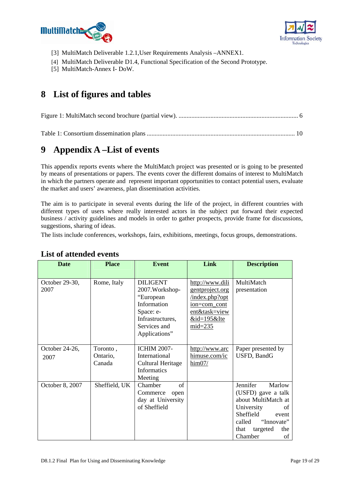



- [3] MultiMatch Deliverable 1.2.1,User Requirements Analysis –ANNEX1.
- [4] MultiMatch Deliverable D1.4, Functional Specification of the Second Prototype.
- [5] MultiMatch-Annex I- DoW.

## **8 List of figures and tables**

|--|--|

Table 1: Consortium dissemination plans ............................................................................................. 10

## **9 Appendix A –List of events**

This appendix reports events where the MultiMatch project was presented or is going to be presented by means of presentations or papers. The events cover the different domains of interest to MultiMatch in which the partners operate and represent important opportunities to contact potential users, evaluate the market and users' awareness, plan dissemination activities.

The aim is to participate in several events during the life of the project, in different countries with different types of users where really interested actors in the subject put forward their expected business / activity guidelines and models in order to gather prospects, provide frame for discussions, suggestions, sharing of ideas.

The lists include conferences, workshops, fairs, exhibitions, meetings, focus groups, demonstrations.

| <b>Date</b>            | <b>Place</b>                   | <b>Event</b>                                                                                                                     | Link                                                                                                                           | <b>Description</b>                                                                                                                                                            |
|------------------------|--------------------------------|----------------------------------------------------------------------------------------------------------------------------------|--------------------------------------------------------------------------------------------------------------------------------|-------------------------------------------------------------------------------------------------------------------------------------------------------------------------------|
| October 29-30,<br>2007 | Rome, Italy                    | <b>DILIGENT</b><br>2007. Workshop-<br>"European<br>Information<br>Space: e-<br>Infrastructures,<br>Services and<br>Applications" | http://www.dili<br><u>gentproject.org</u><br>index.php?opt<br>ion=com_cont<br>ent&task=view<br>$&$ id=195 $&$ Ite<br>$mid=235$ | MultiMatch<br>presentation                                                                                                                                                    |
| October 24-26,<br>2007 | Toronto,<br>Ontario,<br>Canada | <b>ICHIM 2007-</b><br>International<br><b>Cultural Heritage</b><br>Informatics<br>Meeting                                        | http://www.arc<br>himuse.com/ic<br>$\frac{\text{him}07}{\text{ }}$                                                             | Paper presented by<br>USFD, BandG                                                                                                                                             |
| October 8, 2007        | Sheffield, UK                  | Chamber<br>of<br>Commerce<br>open<br>day at University<br>of Sheffield                                                           |                                                                                                                                | Jennifer<br>Marlow<br>(USFD) gave a talk<br>about MultiMatch at<br>University<br>of<br>Sheffield<br>event<br>"Innovate"<br>called<br>targeted<br>that<br>the<br>Chamber<br>οf |

## **List of attended events**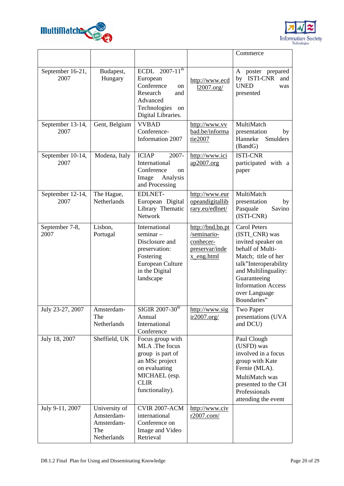



|                          |                                                                 |                                                                                                                                              |                                                                              | Commerce                                                                                                                                                                                                                             |
|--------------------------|-----------------------------------------------------------------|----------------------------------------------------------------------------------------------------------------------------------------------|------------------------------------------------------------------------------|--------------------------------------------------------------------------------------------------------------------------------------------------------------------------------------------------------------------------------------|
| September 16-21,<br>2007 | Budapest,<br>Hungary                                            | ECDL $2007-11^{th}$<br>European<br>Conference<br>on<br>Research<br>and<br>Advanced<br>Technologies<br>on<br>Digital Libraries.               | http://www.ecd<br>12007.org/                                                 | poster prepared<br>A<br><b>ISTI-CNR</b><br>by<br>and<br><b>UNED</b><br>was<br>presented                                                                                                                                              |
| September 13-14,<br>2007 | Gent, Belgium                                                   | <b>VVBAD</b><br>Conference-<br>Information 2007                                                                                              | http://www.vv<br>bad.be/informa<br>tie2007                                   | MultiMatch<br>presentation<br>by<br>Hanneke<br>Smulders<br>(BandG)                                                                                                                                                                   |
| September 10-14,<br>2007 | Modena, Italy                                                   | <b>ICIAP</b><br>2007-<br>International<br>Conference<br>on<br>Image<br>Analysis<br>and Processing                                            | http://www.ici<br>ap2007.org                                                 | <b>ISTI-CNR</b><br>participated with a<br>paper                                                                                                                                                                                      |
| September 12-14,<br>2007 | The Hague,<br>Netherlands                                       | <b>EDLNET-</b><br>European Digital<br>Library Thematic<br><b>Network</b>                                                                     | http://www.eur<br>opeandigitallib<br>rary.eu/edlnet/                         | MultiMatch<br>presentation<br>by<br>Pasquale<br>Savino<br>(ISTI-CNR)                                                                                                                                                                 |
| September 7-8,<br>2007   | Lisbon,<br>Portugal                                             | International<br>$seminar -$<br>Disclosure and<br>preservation:<br>Fostering<br>European Culture<br>in the Digital<br>landscape              | http://bnd.bn.pt<br>/seminario-<br>conhecer-<br>preservar/inde<br>x_eng.html | <b>Carol Peters</b><br>(ISTI_CNR) was<br>invited speaker on<br>behalf of Multi-<br>Match; title of her<br>talk"Interoperability<br>and Multilinguality:<br>Guaranteeing<br><b>Information Access</b><br>over Language<br>Boundaries" |
| July 23-27, 2007         | Amsterdam-<br>The<br>Netherlands                                | $SIGIR$ 2007-30 <sup>th</sup><br>Annual<br>International<br>Conference                                                                       | http://www.sig<br>ir2007.org/                                                | Two Paper<br>presentations (UVA<br>and DCU)                                                                                                                                                                                          |
| July 18, 2007            | Sheffield, UK                                                   | Focus group with<br>MLA .The focus<br>group is part of<br>an MSc project<br>on evaluating<br>MICHAEL (esp.<br><b>CLIR</b><br>functionality). |                                                                              | Paul Clough<br>(USFD) was<br>involved in a focus<br>group with Kate<br>Fernie (MLA).<br>MultiMatch was<br>presented to the CH<br>Professionals<br>attending the event                                                                |
| July 9-11, 2007          | University of<br>Amsterdam-<br>Amsterdam-<br>The<br>Netherlands | <b>CVIR 2007-ACM</b><br>international<br>Conference on<br>Image and Video<br>Retrieval                                                       | http://www.civ<br>r2007.com/                                                 |                                                                                                                                                                                                                                      |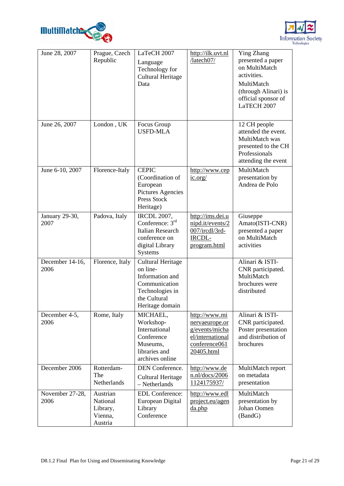



| June 28, 2007           | Prague, Czech<br>Republic                              | LaTeCH 2007<br>Language<br>Technology for<br><b>Cultural Heritage</b><br>Data                                                  | http://ilk.uvt.nl<br>/latech07/                                                                      | <b>Ying Zhang</b><br>presented a paper<br>on MultiMatch<br>activities.<br>MultiMatch<br>(through Alinari) is<br>official sponsor of<br>LaTECH 2007 |
|-------------------------|--------------------------------------------------------|--------------------------------------------------------------------------------------------------------------------------------|------------------------------------------------------------------------------------------------------|----------------------------------------------------------------------------------------------------------------------------------------------------|
| June 26, 2007           | London, UK                                             | Focus Group<br><b>USFD-MLA</b>                                                                                                 |                                                                                                      | 12 CH people<br>attended the event.<br>MultiMatch was<br>presented to the CH<br>Professionals<br>attending the event                               |
| June 6-10, 2007         | Florence-Italy                                         | <b>CEPIC</b><br>(Coordination of<br>European<br>Pictures Agencies<br>Press Stock<br>Heritage)                                  | http://www.cep<br>$i$ c.org/                                                                         | MultiMatch<br>presentation by<br>Andrea de Polo                                                                                                    |
| January 29-30,<br>2007  | Padova, Italy                                          | <b>IRCDL 2007,</b><br>Conference: $3rd$<br><b>Italian Research</b><br>conference on<br>digital Library<br>Systems              | http://ims.dei.u<br>nipd.it/events/2<br>007/ircdl/3rd-<br>IRCDL-<br>program.html                     | Giuseppe<br>Amato(ISTI-CNR)<br>presented a paper<br>on MultiMatch<br>activities                                                                    |
| December 14-16,<br>2006 | Florence, Italy                                        | <b>Cultural Heritage</b><br>on line-<br>Information and<br>Communication<br>Technologies in<br>the Cultural<br>Heritage domain |                                                                                                      | Alinari & ISTI-<br>CNR participated.<br>MultiMatch<br>brochures were<br>distributed                                                                |
| December 4-5,<br>2006   | Rome, Italy                                            | MICHAEL,<br>Workshop-<br>International<br>Conference<br>Museums,<br>libraries and<br>archives online                           | http://www.mi<br>nervaeurope.or<br>g/events/micha<br>el/international<br>conference061<br>20405.html | Alinari & ISTI-<br>CNR participated.<br>Poster presentation<br>and distribution of<br>brochures                                                    |
| December 2006           | Rotterdam-<br>The<br>Netherlands                       | DEN Conference.<br><b>Cultural Heritage</b><br>- Netherlands                                                                   | http://www.de<br>n.n1/docs/2006<br>1124175937/                                                       | MultiMatch report<br>on metadata<br>presentation                                                                                                   |
| November 27-28,<br>2006 | Austrian<br>National<br>Library,<br>Vienna,<br>Austria | <b>EDL</b> Conference:<br>European Digital<br>Library<br>Conference                                                            | http://www.edl<br>project.eu/agen<br>$d$ a.php                                                       | MultiMatch<br>presentation by<br>Johan Oomen<br>(BandG)                                                                                            |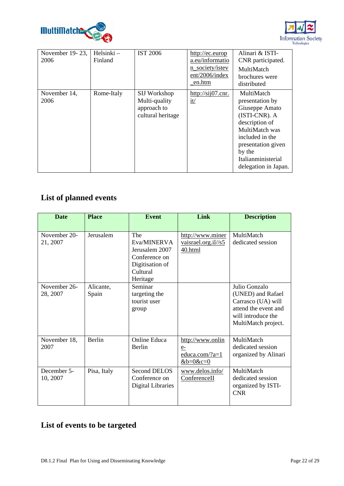



| November 19-23,<br>2006 | Helsinki –<br>Finland | <b>IST 2006</b>                                                   | http://ec.europ<br>a.eu/informatio<br>n_society/istev<br>ent/2006/index<br>_en.htm | Alinari & ISTI-<br>CNR participated.<br>MultiMatch<br>brochures were<br>distributed                                                                                                                   |
|-------------------------|-----------------------|-------------------------------------------------------------------|------------------------------------------------------------------------------------|-------------------------------------------------------------------------------------------------------------------------------------------------------------------------------------------------------|
| November 14,<br>2006    | Rome-Italy            | SIJ Workshop<br>Multi-quality<br>approach to<br>cultural heritage | $\frac{http://sij07.cnr.}{http://sij07.cnr.}$<br>$\frac{i}{t}$                     | MultiMatch<br>presentation by<br>Giuseppe Amato<br>(ISTI-CNR). A<br>description of<br>MultiMatch was<br>included in the<br>presentation given<br>by the<br>Italianministerial<br>delegation in Japan. |

## **List of planned events**

| <b>Date</b>              | <b>Place</b>       | <b>Event</b>                                                                                     | Link                                                             | <b>Description</b>                                                                                                            |
|--------------------------|--------------------|--------------------------------------------------------------------------------------------------|------------------------------------------------------------------|-------------------------------------------------------------------------------------------------------------------------------|
| November 20-<br>21, 2007 | Jerusalem          | The<br>Eva/MINERVA<br>Jerusalem 2007<br>Conference on<br>Digitisation of<br>Cultural<br>Heritage | http://www.miner<br>vaisrael.org.il//s5<br>40.html               | MultiMatch<br>dedicated session                                                                                               |
| November 26-<br>28, 2007 | Alicante,<br>Spain | Seminar<br>targeting the<br>tourist user<br>group                                                |                                                                  | Julio Gonzalo<br>(UNED) and Rafael<br>Carrasco (UA) will<br>attend the event and<br>will introduce the<br>MultiMatch project. |
| November 18,<br>2007     | Berlin             | <b>Online Educa</b><br>Berlin                                                                    | http://www.onlin<br>$e-$<br>educa.com/?a=1<br>$&\text{b=0}$ &c=0 | MultiMatch<br>dedicated session<br>organized by Alinari                                                                       |
| December 5-<br>10, 2007  | Pisa, Italy        | <b>Second DELOS</b><br>Conference on<br>Digital Libraries                                        | www.delos.info/<br>ConferenceII                                  | MultiMatch<br>dedicated session<br>organized by ISTI-<br><b>CNR</b>                                                           |

## **List of events to be targeted**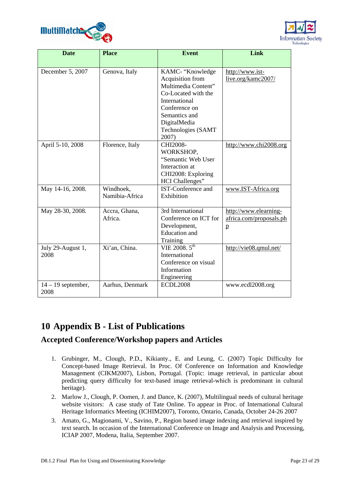



| <b>Date</b>               | <b>Place</b>    | <b>Event</b>                         | Link                                  |
|---------------------------|-----------------|--------------------------------------|---------------------------------------|
|                           |                 |                                      |                                       |
| December 5, 2007          | Genova, Italy   | KAMC- "Knowledge<br>Acquisition from | http://www.ist-<br>live.org/kamc2007/ |
|                           |                 | Multimedia Content"                  |                                       |
|                           |                 | Co-Located with the                  |                                       |
|                           |                 | International                        |                                       |
|                           |                 | Conference on                        |                                       |
|                           |                 | Semantics and                        |                                       |
|                           |                 | DigitalMedia                         |                                       |
|                           |                 | Technologies (SAMT                   |                                       |
|                           |                 | 2007)                                |                                       |
| April 5-10, 2008          | Florence, Italy | CHI2008-<br>WORKSHOP,                | http://www.chi2008.org                |
|                           |                 | "Semantic Web User                   |                                       |
|                           |                 | Interaction at                       |                                       |
|                           |                 | CHI2008: Exploring                   |                                       |
|                           |                 | <b>HCI</b> Challenges"               |                                       |
| May 14-16, 2008.          | Windhoek,       | <b>IST-Conference and</b>            | www.IST-Africa.org                    |
|                           | Namibia-Africa  | Exhibition                           |                                       |
| May 28-30, 2008.          | Accra, Ghana,   | 3rd International                    | http://www.elearning-                 |
|                           | Africa.         | Conference on ICT for                | africa.com/proposals.ph               |
|                           |                 | Development,                         | $\mathbf{p}$                          |
|                           |                 | <b>Education</b> and                 |                                       |
|                           |                 | Training                             |                                       |
| July 29-August 1,<br>2008 | Xi'an, China.   | VIE 2008. $5^{th}$<br>International  | http://vie08.qmul.net/                |
|                           |                 | Conference on visual                 |                                       |
|                           |                 | Information                          |                                       |
|                           |                 | Engineering                          |                                       |
| $14 - 19$ september,      | Aarhus, Denmark | <b>ECDL2008</b>                      | www.ecdl2008.org                      |
| 2008                      |                 |                                      |                                       |

## **10 Appendix B - List of Publications**

## **Accepted Conference/Workshop papers and Articles**

- 1. Grubinger, M., Clough, P.D., Kikianty., E. and Leung, C. (2007) Topic Difficulty for Concept-based Image Retrieval. In Proc. Of Conference on Information and Knowledge Management (CIKM2007), Lisbon, Portugal. (Topic: image retrieval, in particular about predicting query difficulty for text-based image retrieval-which is predominant in cultural heritage).
- 2. Marlow J., Clough, P. Oomen, J. and Dance, K. (2007), Multilingual needs of cultural heritage website visitors: A case study of Tate Online. To appear in Proc. of International Cultural Heritage Informatics Meeting (ICHIM2007), Toronto, Ontario, Canada, October 24-26 2007
- 3. Amato, G., Magionami, V., Savino, P., Region based image indexing and retrieval inspired by text search. In occasion of the International Conference on Image and Analysis and Processing, ICIAP 2007, Modena, Italia, September 2007.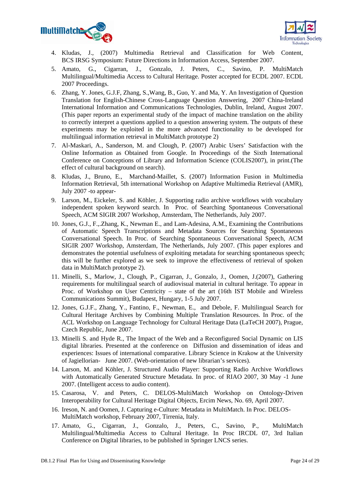



- 4. Kludas, J., (2007) Multimedia Retrieval and Classification for Web Content, BCS IRSG Symposium: Future Directions in Information Access, September 2007.
- 5. Amato, G., Cigarran, J., Gonzalo, J. Peters, C., Savino, P. MultiMatch Multilingual/Multimedia Access to Cultural Heritage. Poster accepted for ECDL 2007. ECDL 2007 Proceedings.
- 6. Zhang, Y. Jones, G.J.F, Zhang, S.,Wang, B., Guo, Y. and Ma, Y. An Investigation of Question Translation for English-Chinese Cross-Language Question Answering, 2007 China-Ireland International Information and Communications Technologies, Dublin, Ireland, August 2007. (This paper reports an experimental study of the impact of machine translation on the ability to correctly interpret a questions applied to a question answering system. The outputs of these experiments may be exploited in the more advanced functionality to be developed for multilingual information retrieval in MultiMatch prototype 2)
- 7. Al-Maskari, A., Sanderson, M. and Clough, P. (2007) Arabic Users' Satisfaction with the Online Information as Obtained from Google. In Proceedings of the Sixth International Conference on Conceptions of Library and Information Science (COLIS2007), in print.(The effect of cultural background on search).
- 8. Kludas, J., Bruno, E., Marchand-Maillet, S. (2007) Information Fusion in Multimedia Information Retrieval, 5th international Workshop on Adaptive Multimedia Retrieval (AMR), July 2007 -to appear-
- 9. Larson, M., Eickeler, S. and Köhler, J. Supporting radio archive workflows with vocabulary independent spoken keyword search. In Proc. of Searching Spontaneous Conversational Speech, ACM SIGIR 2007 Workshop, Amsterdam, The Netherlands, July 2007.
- 10. Jones, G.J., F.,.Zhang, K., Newman E., and Lam-Adesina, A.M., Examining the Contributions of Automatic Speech Transcriptions and Metadata Sources for Searching Spontaneous Conversational Speech. In Proc. of Searching Spontaneous Conversational Speech, ACM SIGIR 2007 Workshop, Amsterdam, The Netherlands, July 2007. (This paper explores and demonstrates the potential usefulness of exploiting metadata for searching spontaneous speech; this will be further explored as we seek to improve the effectiveness of retrieval of spoken data in MultiMatch prototype 2).
- 11. Minelli, S., Marlow, J., Clough, P., Cigarran, J., Gonzalo, J., Oomen, J.(2007), Gathering requirements for multilingual search of audiovisual material in cultural heritage. To appear in Proc. of Workshop on User Centricity – state of the art (16th IST Mobile and Wireless Communications Summit), Budapest, Hungary, 1-5 July 2007.
- 12. Jones, G.J.F., Zhang, Y., Fantino, F., Newman, E., and Debole, F. Multilingual Search for Cultural Heritage Archives by Combining Multiple Translation Resources. In Proc. of the ACL Workshop on Language Technology for Cultural Heritage Data (LaTeCH 2007), Prague, Czech Republic, June 2007.
- 13. Minelli S. and Hyde R., The Impact of the Web and a Reconfigured Social Dynamic on LIS digital libraries. Presented at the conference on Diffusion and dissemination of ideas and experiences: Issues of international comparative. Library Science in Krakow at the University of Jagiellorian- June 2007. (Web-orientation of new librarian's services).
- 14. Larson, M. and Köhler, J. Structured Audio Player: Supporting Radio Archive Workflows with Automatically Generated Structure Metadata. In proc. of RIAO 2007, 30 May -1 June 2007. (Intelligent access to audio content).
- 15. Casarosa, V. and Peters, C. DELOS-MultiMatch Workshop on Ontology-Driven Interoperability for Cultural Heritage Digital Objects, Ercim News, No. 69, April 2007.
- 16. Ireson, N. and Oomen, J. Capturing e-Culture: Metadata in MultiMatch. In Proc. DELOS-MultiMatch workshop, February 2007, Tirrenia, Italy.
- 17. Amato, G., Cigarran, J., Gonzalo, J., Peters, C., Savino, P., MultiMatch Multilingual/Multimedia Access to Cultural Heritage. In Proc IRCDL 07, 3rd Italian Conference on Digital libraries, to be published in Springer LNCS series.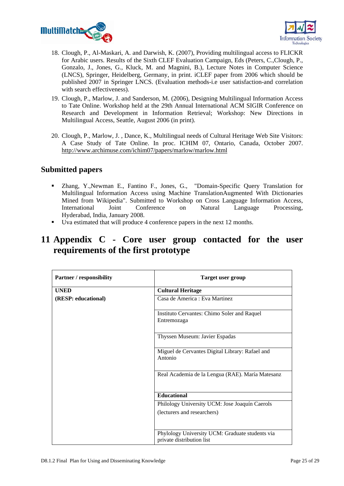



- 18. Clough, P., Al-Maskari, A. and Darwish, K. (2007), Providing multilingual access to FLICKR for Arabic users. Results of the Sixth CLEF Evaluation Campaign, Eds (Peters, C.,Clough, P., Gonzalo, J., Jones, G., Kluck, M. and Magnini, B.), Lecture Notes in Computer Science (LNCS), Springer, Heidelberg, Germany, in print. iCLEF paper from 2006 which should be published 2007 in Springer LNCS. (Evaluation methods-i.e user satisfaction-and correlation with search effectiveness).
- 19. Clough, P., Marlow, J. and Sanderson, M. (2006), Designing Multilingual Information Access to Tate Online. Workshop held at the 29th Annual International ACM SIGIR Conference on Research and Development in Information Retrieval; Workshop: New Directions in Multilingual Access, Seattle, August 2006 (in print).
- 20. Clough, P., Marlow, J. , Dance, K., Multilingual needs of Cultural Heritage Web Site Visitors: A Case Study of Tate Online. In proc. ICHIM 07, Ontario, Canada, October 2007. http://www.archimuse.com/ichim07/papers/marlow/marlow.html

## **Submitted papers**

- Zhang, Y.,Newman E., Fantino F., Jones, G., "Domain-Specific Query Translation for Multilingual Information Access using Machine TranslationAugmented With Dictionaries Mined from Wikipedia". Submitted to Workshop on Cross Language Information Access, International Joint Conference on Natural Language Processing, Hyderabad, India, January 2008.
- Uva estimated that will produce 4 conference papers in the next 12 months.

## **11 Appendix C - Core user group contacted for the user requirements of the first prototype**

| <b>Partner / responsibility</b> | <b>Target user group</b>                                                     |
|---------------------------------|------------------------------------------------------------------------------|
| <b>UNED</b>                     | <b>Cultural Heritage</b>                                                     |
| (RESP: educational)             | Casa de America : Eva Martinez                                               |
|                                 | Instituto Cervantes: Chimo Soler and Raquel<br>Entremozaga                   |
|                                 | Thyssen Museum: Javier Espadas                                               |
|                                 | Miguel de Cervantes Digital Library: Rafael and<br>Antonio                   |
|                                 | Real Academia de la Lengua (RAE). María Matesanz                             |
|                                 | <b>Educational</b>                                                           |
|                                 | Philology University UCM: Jose Joaquín Caerols                               |
|                                 | (lecturers and researchers)                                                  |
|                                 | Phylology University UCM: Graduate students via<br>private distribution list |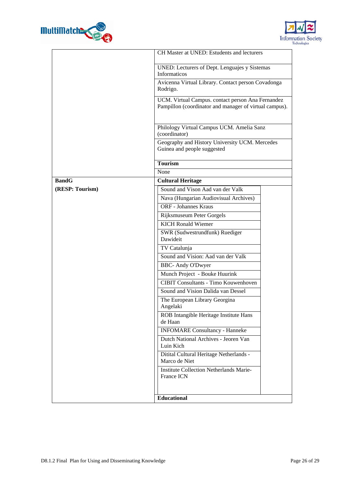



|                 | CH Master at UNED: Estudents and lecturers                                                                                                                                |  |  |
|-----------------|---------------------------------------------------------------------------------------------------------------------------------------------------------------------------|--|--|
|                 | UNED: Lecturers of Dept. Lenguajes y Sistemas<br>Informaticos                                                                                                             |  |  |
|                 | Avicenna Virtual Library. Contact person Covadonga<br>Rodrigo.                                                                                                            |  |  |
|                 | UCM. Virtual Campus. contact person Ana Fernandez<br>Pampillon (coordinator and manager of virtual campus).<br>Philology Virtual Campus UCM. Amelia Sanz<br>(coordinator) |  |  |
|                 |                                                                                                                                                                           |  |  |
|                 | Geography and History University UCM. Mercedes<br>Guinea and people suggested                                                                                             |  |  |
|                 | <b>Tourism</b>                                                                                                                                                            |  |  |
|                 | None                                                                                                                                                                      |  |  |
| <b>BandG</b>    | <b>Cultural Heritage</b>                                                                                                                                                  |  |  |
| (RESP: Tourism) | Sound and Vison Aad van der Valk                                                                                                                                          |  |  |
|                 | Nava (Hungarian Audiovisual Archives)                                                                                                                                     |  |  |
|                 | <b>ORF</b> - Johannes Kraus                                                                                                                                               |  |  |
|                 | Rijksmuseum Peter Gorgels                                                                                                                                                 |  |  |
|                 | <b>KICH</b> Ronald Wiemer                                                                                                                                                 |  |  |
|                 | SWR (Sudwestrundfunk) Ruediger<br>Dawideit                                                                                                                                |  |  |
|                 | TV Catalunja                                                                                                                                                              |  |  |
|                 | Sound and Vision: Aad van der Valk                                                                                                                                        |  |  |
|                 | <b>BBC-Andy O'Dwyer</b>                                                                                                                                                   |  |  |
|                 | Munch Project - Bouke Huurink                                                                                                                                             |  |  |
|                 | <b>CIBIT Consultants - Timo Kouwenhoven</b>                                                                                                                               |  |  |
|                 | Sound and Vision Dalida van Dessel                                                                                                                                        |  |  |
|                 | The European Library Georgina<br>Angelaki                                                                                                                                 |  |  |
|                 | ROB Intangible Heritage Institute Hans<br>de Haan                                                                                                                         |  |  |
|                 | <b>INFOMARE Consultancy - Hanneke</b>                                                                                                                                     |  |  |
|                 | Dutch National Archives - Jeoren Van<br>Luin Kich                                                                                                                         |  |  |
|                 | Ditital Cultural Heritage Netherlands -<br>Marco de Niet                                                                                                                  |  |  |
|                 | <b>Institute Collection Netherlands Marie-</b><br>France ICN                                                                                                              |  |  |
|                 | Educational                                                                                                                                                               |  |  |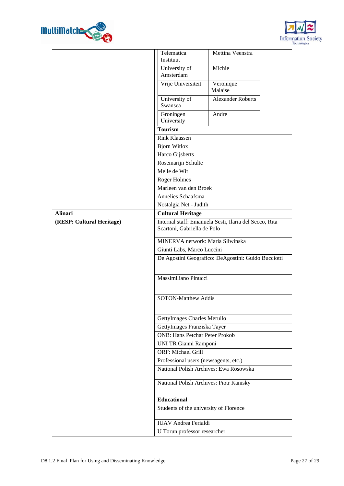



|                           | Telematica                                             | Mettina Veenstra                                    |  |
|---------------------------|--------------------------------------------------------|-----------------------------------------------------|--|
|                           | Instituut                                              |                                                     |  |
|                           | University of                                          | Michie                                              |  |
|                           | Amsterdam                                              |                                                     |  |
|                           | Vrije Universiteit                                     | Veronique<br>Malaise                                |  |
|                           | University of<br>Swansea                               | <b>Alexander Roberts</b>                            |  |
|                           | Groningen<br>University                                | Andre                                               |  |
|                           | <b>Tourism</b>                                         |                                                     |  |
|                           | <b>Rink Klaassen</b>                                   |                                                     |  |
|                           | <b>Bjorn Witlox</b>                                    |                                                     |  |
|                           | Harco Gijsberts                                        |                                                     |  |
|                           | Rosemarijn Schulte                                     |                                                     |  |
|                           | Melle de Wit                                           |                                                     |  |
|                           | Roger Holmes                                           |                                                     |  |
|                           | Marleen van den Broek                                  |                                                     |  |
|                           | Annelies Schaafsma                                     |                                                     |  |
|                           | Nostalgia Net - Judith                                 |                                                     |  |
| <b>Alinari</b>            | <b>Cultural Heritage</b>                               |                                                     |  |
| (RESP: Cultural Heritage) | Internal staff: Emanuela Sesti, Ilaria del Secco, Rita |                                                     |  |
|                           | Scartoni, Gabriella de Polo                            |                                                     |  |
|                           | MINERVA network: Maria Sliwinska                       |                                                     |  |
|                           | Giunti Labs, Marco Luccini                             |                                                     |  |
|                           |                                                        | De Agostini Geografico: DeAgostini: Guido Bucciotti |  |
|                           |                                                        |                                                     |  |
|                           | Massimiliano Pinucci                                   |                                                     |  |
|                           |                                                        |                                                     |  |
|                           | <b>SOTON-Matthew Addis</b>                             |                                                     |  |
|                           |                                                        |                                                     |  |
|                           | GettyImages Charles Merullo                            |                                                     |  |
|                           | GettyImages Franziska Tayer                            |                                                     |  |
|                           | <b>ONB: Hans Petchar Peter Prokob</b>                  |                                                     |  |
|                           | UNI TR Gianni Ramponi                                  |                                                     |  |
|                           | ORF: Michael Grill                                     |                                                     |  |
|                           | Professional users (newsagents, etc.)                  |                                                     |  |
|                           | National Polish Archives: Ewa Rosowska                 |                                                     |  |
|                           | National Polish Archives: Piotr Kanisky                |                                                     |  |
|                           | <b>Educational</b>                                     |                                                     |  |
|                           | Students of the university of Florence                 |                                                     |  |
|                           | <b>IUAV</b> Andrea Ferialdi                            |                                                     |  |
|                           | U Torun professor researcher                           |                                                     |  |